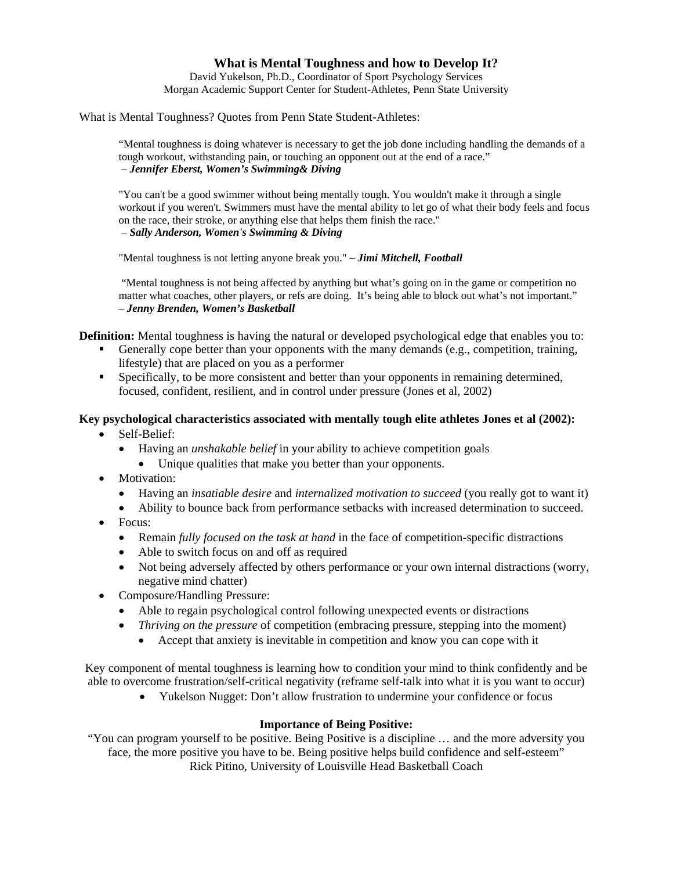# **What is Mental Toughness and how to Develop It?**

David Yukelson, Ph.D., Coordinator of Sport Psychology Services Morgan Academic Support Center for Student-Athletes, Penn State University

What is Mental Toughness? Quotes from Penn State Student-Athletes:

"Mental toughness is doing whatever is necessary to get the job done including handling the demands of a tough workout, withstanding pain, or touching an opponent out at the end of a race." – *Jennifer Eberst, Women's Swimming& Diving* 

"You can't be a good swimmer without being mentally tough. You wouldn't make it through a single workout if you weren't. Swimmers must have the mental ability to let go of what their body feels and focus on the race, their stroke, or anything else that helps them finish the race." – *Sally Anderson, Women's Swimming & Diving* 

"Mental toughness is not letting anyone break you." – *Jimi Mitchell, Football*

 "Mental toughness is not being affected by anything but what's going on in the game or competition no matter what coaches, other players, or refs are doing. It's being able to block out what's not important." – *Jenny Brenden, Women's Basketball*

**Definition:** Mental toughness is having the natural or developed psychological edge that enables you to:

- Generally cope better than your opponents with the many demands (e.g., competition, training, lifestyle) that are placed on you as a performer
- Specifically, to be more consistent and better than your opponents in remaining determined, focused, confident, resilient, and in control under pressure (Jones et al, 2002)

# **Key psychological characteristics associated with mentally tough elite athletes Jones et al (2002):**

- Self-Belief:
	- Having an *unshakable belief* in your ability to achieve competition goals
		- Unique qualities that make you better than your opponents.
- Motivation:
	- Having an *insatiable desire* and *internalized motivation to succeed* (you really got to want it)
	- Ability to bounce back from performance setbacks with increased determination to succeed.
- Focus:
	- Remain *fully focused on the task at hand* in the face of competition-specific distractions
	- Able to switch focus on and off as required
	- Not being adversely affected by others performance or your own internal distractions (worry, negative mind chatter)
- Composure/Handling Pressure:
	- Able to regain psychological control following unexpected events or distractions
	- *Thriving on the pressure* of competition (embracing pressure, stepping into the moment)
		- Accept that anxiety is inevitable in competition and know you can cope with it

Key component of mental toughness is learning how to condition your mind to think confidently and be able to overcome frustration/self-critical negativity (reframe self-talk into what it is you want to occur)

• Yukelson Nugget: Don't allow frustration to undermine your confidence or focus

### **Importance of Being Positive:**

"You can program yourself to be positive. Being Positive is a discipline … and the more adversity you face, the more positive you have to be. Being positive helps build confidence and self-esteem" Rick Pitino, University of Louisville Head Basketball Coach